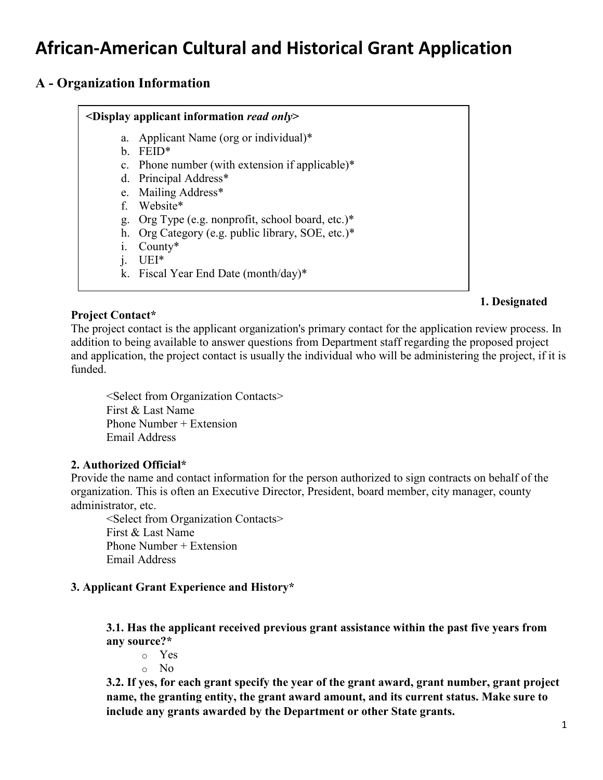# **African-American Cultural and Historical Grant Application**

## **A - Organization Information**

## **<Display applicant information** *read only***>**

- a. Applicant Name (org or individual)\*
- b. FEID\*
- c. Phone number (with extension if applicable)\*
- d. Principal Address\*
- e. Mailing Address\*
- f. Website\*
- g. Org Type (e.g. nonprofit, school board, etc.)\*
- h. Org Category (e.g. public library, SOE, etc.)\*
- i. County\*
- j. UEI\*
- k. Fiscal Year End Date (month/day)\*

**Project Contact\***  The project contact is the applicant organization's primary contact for the application review process. In addition to being available to answer questions from Department staff regarding the proposed project and application, the project contact is usually the individual who will be administering the project, if it is funded.

<Select from Organization Contacts> First & Last Name Phone Number + Extension Email Address

## **2. Authorized Official\***

Provide the name and contact information for the person authorized to sign contracts on behalf of the organization. This is often an Executive Director, President, board member, city manager, county administrator, etc.

<Select from Organization Contacts> First & Last Name Phone Number + Extension Email Address

## **3. Applicant Grant Experience and History\***

**3.1. Has the applicant received previous grant assistance within the past five years from any source?\***

o Yes

o No

**3.2. If yes, for each grant specify the year of the grant award, grant number, grant project name, the granting entity, the grant award amount, and its current status. Make sure to include any grants awarded by the Department or other State grants.**

**1. Designated**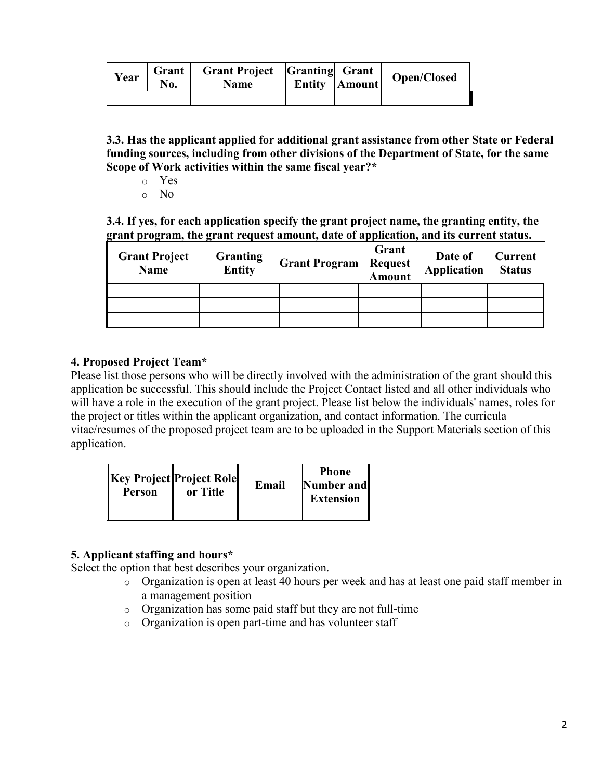| Year | No. | Grant   Grant Project   Granting   Grant  <br><b>Name</b> | Entity Amount | $\perp$<br><b>Open/Closed</b> |
|------|-----|-----------------------------------------------------------|---------------|-------------------------------|
|      |     |                                                           |               |                               |

**3.3. Has the applicant applied for additional grant assistance from other State or Federal funding sources, including from other divisions of the Department of State, for the same Scope of Work activities within the same fiscal year?\***

- o Yes
- o No

**3.4. If yes, for each application specify the grant project name, the granting entity, the grant program, the grant request amount, date of application, and its current status.**

| <b>Grant Project</b><br><b>Name</b> | <b>Granting</b><br><b>Entity</b> | <b>Grant Program</b> | Grant<br><b>Request</b><br><b>Amount</b> | Date of<br><b>Application</b> | Current<br><b>Status</b> |
|-------------------------------------|----------------------------------|----------------------|------------------------------------------|-------------------------------|--------------------------|
|                                     |                                  |                      |                                          |                               |                          |
|                                     |                                  |                      |                                          |                               |                          |
|                                     |                                  |                      |                                          |                               |                          |

## **4. Proposed Project Team\***

Please list those persons who will be directly involved with the administration of the grant should this application be successful. This should include the Project Contact listed and all other individuals who will have a role in the execution of the grant project. Please list below the individuals' names, roles for the project or titles within the applicant organization, and contact information. The curricula vitae/resumes of the proposed project team are to be uploaded in the Support Materials section of this application.

| <b>Key Project Project Role</b><br><b>Person</b> | or Title | Email | <b>Phone</b><br>Number and<br><b>Extension</b> |
|--------------------------------------------------|----------|-------|------------------------------------------------|
|--------------------------------------------------|----------|-------|------------------------------------------------|

## **5. Applicant staffing and hours\***

Select the option that best describes your organization.

- o Organization is open at least 40 hours per week and has at least one paid staff member in a management position
- o Organization has some paid staff but they are not full-time
- o Organization is open part-time and has volunteer staff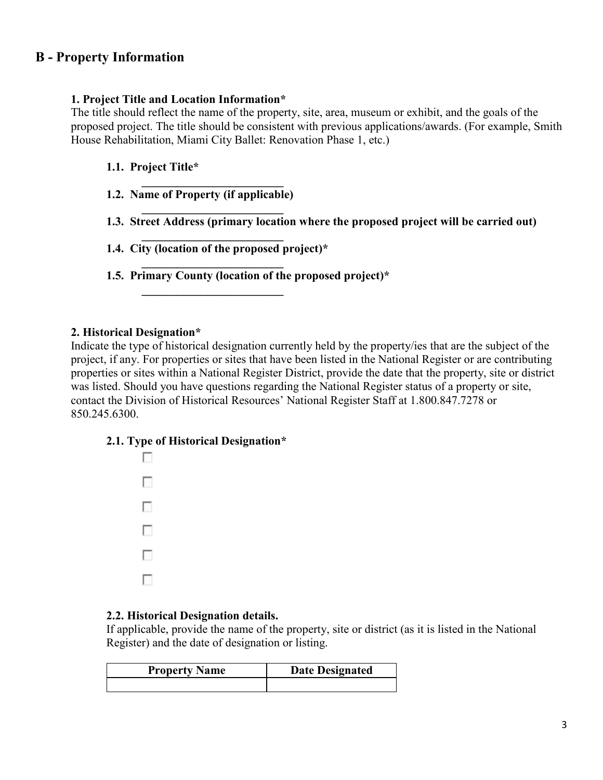## **B - Property Information**

#### **1. Project Title and Location Information\***

The title should reflect the name of the property, site, area, museum or exhibit, and the goals of the proposed project. The title should be consistent with previous applications/awards. (For example, Smith House Rehabilitation, Miami City Ballet: Renovation Phase 1, etc.)

#### **1.1. Project Title\***

 **\_\_\_\_\_\_\_\_\_\_\_\_\_\_\_\_\_\_\_\_\_\_\_\_ 1.2. Name of Property (if applicable) \_\_\_\_\_\_\_\_\_\_\_\_\_\_\_\_\_\_\_\_\_\_\_\_** 

 **\_\_\_\_\_\_\_\_\_\_\_\_\_\_\_\_\_\_\_\_\_\_\_\_** 

 **\_\_\_\_\_\_\_\_\_\_\_\_\_\_\_\_\_\_\_\_\_\_\_\_** 

 **\_\_\_\_\_\_\_\_\_\_\_\_\_\_\_\_\_\_\_\_\_\_\_\_** 

- **1.3. Street Address (primary location where the proposed project will be carried out)**
- **1.4. City (location of the proposed project)\***
- **1.5. Primary County (location of the proposed project)\***

#### **2. Historical Designation\***

Indicate the type of historical designation currently held by the property/ies that are the subject of the project, if any. For properties or sites that have been listed in the National Register or are contributing properties or sites within a National Register District, provide the date that the property, site or district was listed. Should you have questions regarding the National Register status of a property or site, contact the Division of Historical Resources' National Register Staff at 1.800.847.7278 or 850.245.6300.

#### **2.1. Type of Historical Designation\***



## **2.2. Historical Designation details.**

If applicable, provide the name of the property, site or district (as it is listed in the National Register) and the date of designation or listing.

| <b>Property Name</b> | <b>Date Designated</b> |
|----------------------|------------------------|
|                      |                        |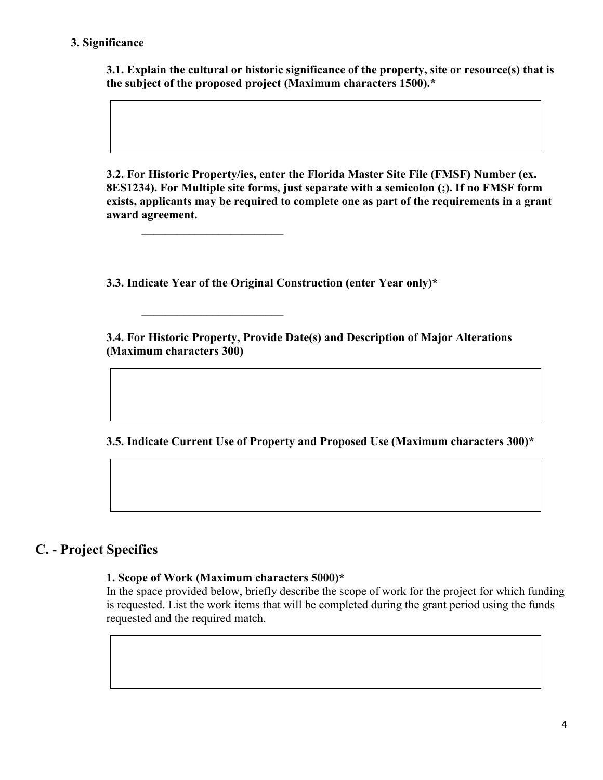## **3. Significance**

**3.1. Explain the cultural or historic significance of the property, site or resource(s) that is the subject of the proposed project (Maximum characters 1500).\*** 

**3.2. For Historic Property/ies, enter the Florida Master Site File (FMSF) Number (ex. 8ES1234). For Multiple site forms, just separate with a semicolon (;). If no FMSF form exists, applicants may be required to complete one as part of the requirements in a grant award agreement.**

**3.3. Indicate Year of the Original Construction (enter Year only)\***

**\_\_\_\_\_\_\_\_\_\_\_\_\_\_\_\_\_\_\_\_\_\_\_\_**

**\_\_\_\_\_\_\_\_\_\_\_\_\_\_\_\_\_\_\_\_\_\_\_\_**

**3.4. For Historic Property, Provide Date(s) and Description of Major Alterations (Maximum characters 300)**

**3.5. Indicate Current Use of Property and Proposed Use (Maximum characters 300)\***

## **C. - Project Specifics**

#### **1. Scope of Work (Maximum characters 5000)\***

In the space provided below, briefly describe the scope of work for the project for which funding is requested. List the work items that will be completed during the grant period using the funds requested and the required match.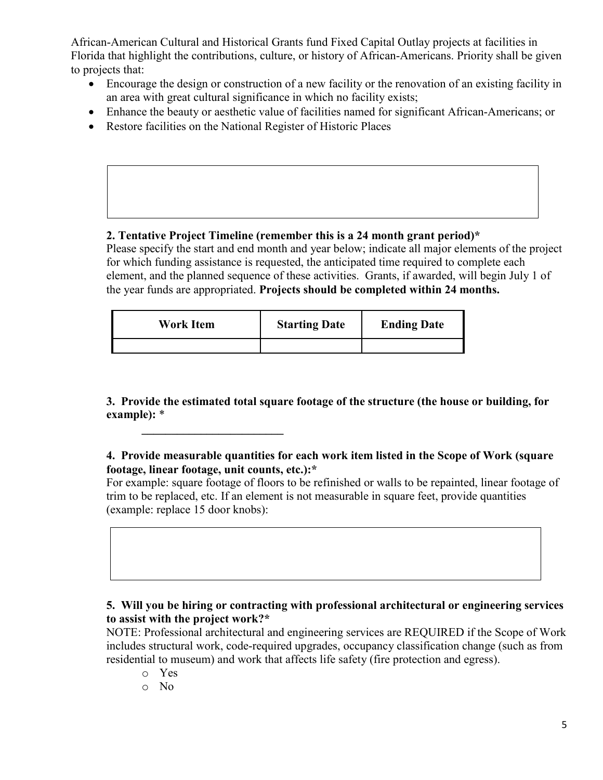African-American Cultural and Historical Grants fund Fixed Capital Outlay projects at facilities in Florida that highlight the contributions, culture, or history of African-Americans. Priority shall be given to projects that:

- Encourage the design or construction of a new facility or the renovation of an existing facility in an area with great cultural significance in which no facility exists;
- Enhance the beauty or aesthetic value of facilities named for significant African-Americans; or
- Restore facilities on the National Register of Historic Places

**\_\_\_\_\_\_\_\_\_\_\_\_\_\_\_\_\_\_\_\_\_\_\_\_**

## **2. Tentative Project Timeline (remember this is a 24 month grant period)\***

Please specify the start and end month and year below; indicate all major elements of the project for which funding assistance is requested, the anticipated time required to complete each element, and the planned sequence of these activities. Grants, if awarded, will begin July 1 of the year funds are appropriated. **Projects should be completed within 24 months.**

| <b>Work Item</b> | <b>Starting Date</b> | <b>Ending Date</b> |
|------------------|----------------------|--------------------|
|                  |                      |                    |

**3. Provide the estimated total square footage of the structure (the house or building, for example):** \*

**4. Provide measurable quantities for each work item listed in the Scope of Work (square footage, linear footage, unit counts, etc.):\***

For example: square footage of floors to be refinished or walls to be repainted, linear footage of trim to be replaced, etc. If an element is not measurable in square feet, provide quantities (example: replace 15 door knobs):

## **5. Will you be hiring or contracting with professional architectural or engineering services to assist with the project work?\***

NOTE: Professional architectural and engineering services are REQUIRED if the Scope of Work includes structural work, code-required upgrades, occupancy classification change (such as from residential to museum) and work that affects life safety (fire protection and egress).

- o Yes
- o No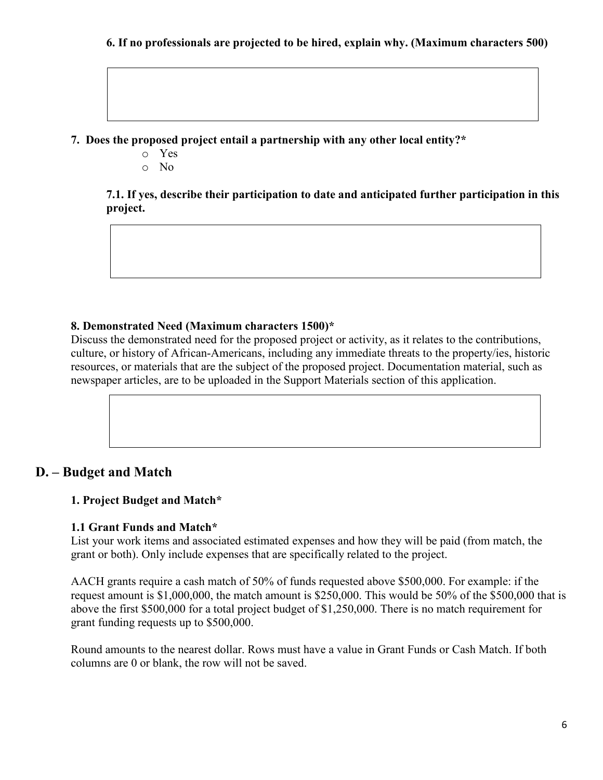**7. Does the proposed project entail a partnership with any other local entity?\***

- o Yes
- o No

**7.1. If yes, describe their participation to date and anticipated further participation in this project.** 

## **8. Demonstrated Need (Maximum characters 1500)\***

Discuss the demonstrated need for the proposed project or activity, as it relates to the contributions, culture, or history of African-Americans, including any immediate threats to the property/ies, historic resources, or materials that are the subject of the proposed project. Documentation material, such as newspaper articles, are to be uploaded in the Support Materials section of this application.

## **D. – Budget and Match**

## **1. Project Budget and Match\***

## **1.1 Grant Funds and Match\***

List your work items and associated estimated expenses and how they will be paid (from match, the grant or both). Only include expenses that are specifically related to the project.

AACH grants require a cash match of 50% of funds requested above \$500,000. For example: if the request amount is \$1,000,000, the match amount is \$250,000. This would be 50% of the \$500,000 that is above the first \$500,000 for a total project budget of \$1,250,000. There is no match requirement for grant funding requests up to \$500,000.

Round amounts to the nearest dollar. Rows must have a value in Grant Funds or Cash Match. If both columns are 0 or blank, the row will not be saved.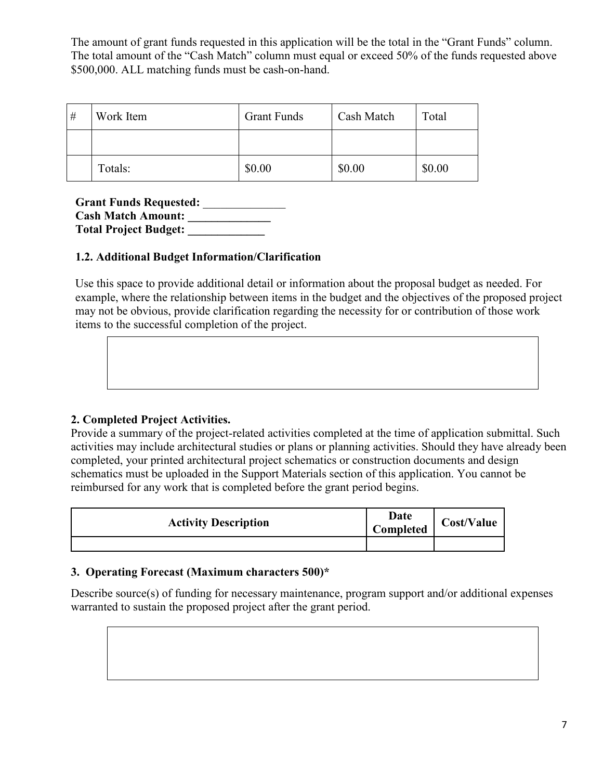The amount of grant funds requested in this application will be the total in the "Grant Funds" column. The total amount of the "Cash Match" column must equal or exceed 50% of the funds requested above \$500,000. ALL matching funds must be cash-on-hand.

| # | Work Item | <b>Grant Funds</b> | Cash Match | Total  |
|---|-----------|--------------------|------------|--------|
|   |           |                    |            |        |
|   | Totals:   | \$0.00             | \$0.00     | \$0.00 |

**Grant Funds Requested:** \_\_\_\_\_\_\_\_\_\_\_\_\_\_ **Cash Match Amount: \_\_\_\_\_\_\_\_\_\_\_\_\_\_ Total Project Budget: \_\_\_\_\_\_\_\_\_\_\_\_\_**

## **1.2. Additional Budget Information/Clarification**

Use this space to provide additional detail or information about the proposal budget as needed. For example, where the relationship between items in the budget and the objectives of the proposed project may not be obvious, provide clarification regarding the necessity for or contribution of those work items to the successful completion of the project.

## **2. Completed Project Activities.**

Provide a summary of the project-related activities completed at the time of application submittal. Such activities may include architectural studies or plans or planning activities. Should they have already been completed, your printed architectural project schematics or construction documents and design schematics must be uploaded in the Support Materials section of this application. You cannot be reimbursed for any work that is completed before the grant period begins.

| <b>Activity Description</b> | Date<br>Completed | <b>Cost/Value</b> |
|-----------------------------|-------------------|-------------------|
|                             |                   |                   |

## **3. Operating Forecast (Maximum characters 500)\***

Describe source(s) of funding for necessary maintenance, program support and/or additional expenses warranted to sustain the proposed project after the grant period.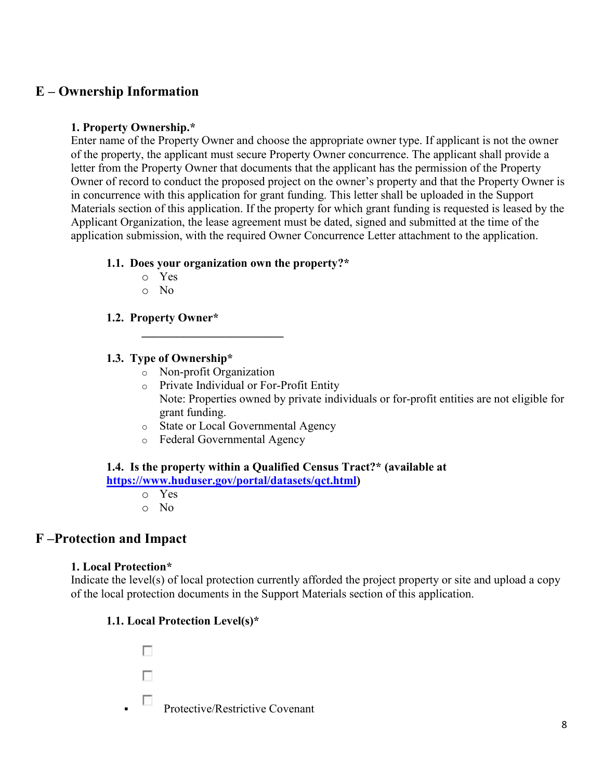## **E – Ownership Information**

## **1. Property Ownership.\***

Enter name of the Property Owner and choose the appropriate owner type. If applicant is not the owner of the property, the applicant must secure Property Owner concurrence. The applicant shall provide a letter from the Property Owner that documents that the applicant has the permission of the Property Owner of record to conduct the proposed project on the owner's property and that the Property Owner is in concurrence with this application for grant funding. This letter shall be uploaded in the Support Materials section of this application. If the property for which grant funding is requested is leased by the Applicant Organization, the lease agreement must be dated, signed and submitted at the time of the application submission, with the required Owner Concurrence Letter attachment to the application.

## **1.1. Does your organization own the property?\***

- o Yes
- o No

## **1.2. Property Owner\***

## **1.3. Type of Ownership\***

o Non-profit Organization

 **\_\_\_\_\_\_\_\_\_\_\_\_\_\_\_\_\_\_\_\_\_\_\_\_** 

- o Private Individual or For-Profit Entity Note: Properties owned by private individuals or for-profit entities are not eligible for grant funding.
- o State or Local Governmental Agency
- o Federal Governmental Agency

#### **1.4. Is the property within a Qualified Census Tract?\* (available at [https://www.huduser.gov/portal/datasets/qct.html\)](https://www.huduser.gov/portal/datasets/qct.html)**

- o Yes
- o No

## **F –Protection and Impact**

## **1. Local Protection\***

Indicate the level(s) of local protection currently afforded the project property or site and upload a copy of the local protection documents in the Support Materials section of this application.

## **1.1. Local Protection Level(s)\***

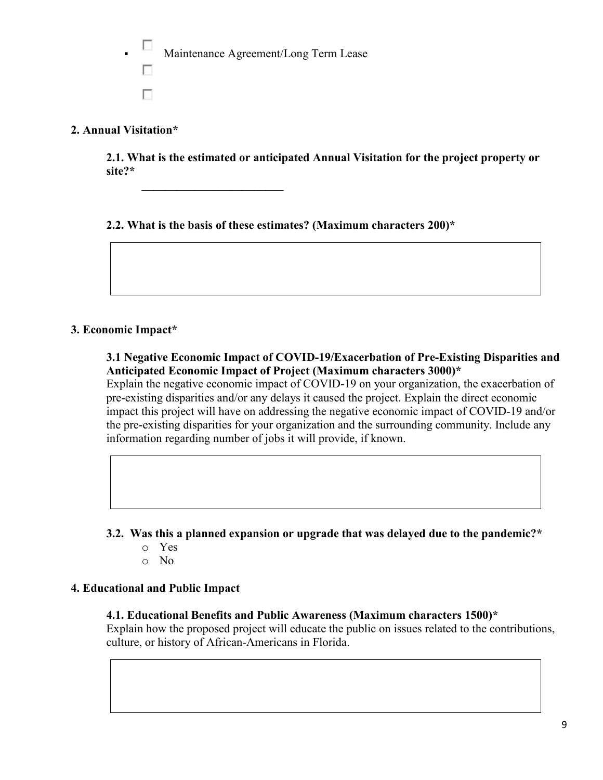Maintenance Agreement/Long Term Lease n п

 **\_\_\_\_\_\_\_\_\_\_\_\_\_\_\_\_\_\_\_\_\_\_\_\_** 

## **2. Annual Visitation\***

**2.1. What is the estimated or anticipated Annual Visitation for the project property or site?\***

**2.2. What is the basis of these estimates? (Maximum characters 200)\***

## **3. Economic Impact\***

**3.1 Negative Economic Impact of COVID-19/Exacerbation of Pre-Existing Disparities and Anticipated Economic Impact of Project (Maximum characters 3000)\*** 

Explain the negative economic impact of COVID-19 on your organization, the exacerbation of pre-existing disparities and/or any delays it caused the project. Explain the direct economic impact this project will have on addressing the negative economic impact of COVID-19 and/or the pre-existing disparities for your organization and the surrounding community. Include any information regarding number of jobs it will provide, if known.

- **3.2. Was this a planned expansion or upgrade that was delayed due to the pandemic?\*** 
	- o Yes
	- o No

## **4. Educational and Public Impact**

## **4.1. Educational Benefits and Public Awareness (Maximum characters 1500)\***

Explain how the proposed project will educate the public on issues related to the contributions, culture, or history of African-Americans in Florida.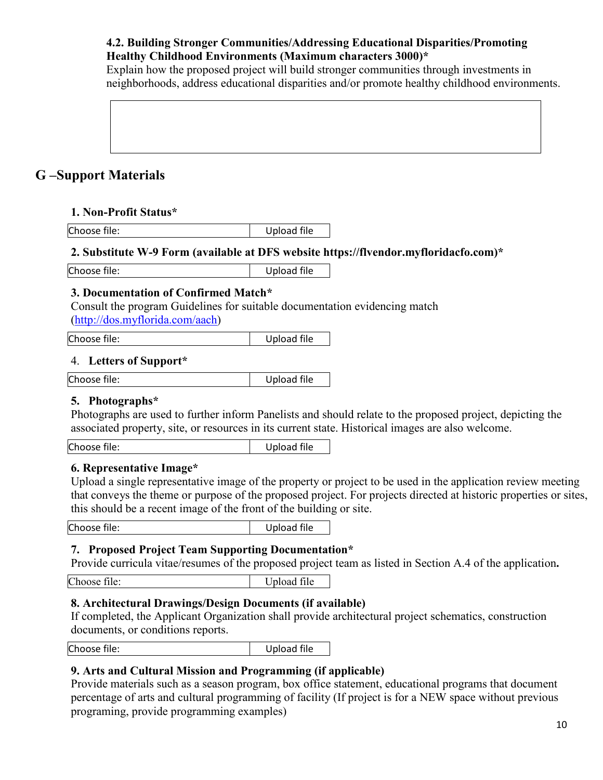## **4.2. Building Stronger Communities/Addressing Educational Disparities/Promoting Healthy Childhood Environments (Maximum characters 3000)\***

Explain how the proposed project will build stronger communities through investments in neighborhoods, address educational disparities and/or promote healthy childhood environments.

## **G –Support Materials**

## **1. Non-Profit Status\***

Choose file: Upload file

## **2. Substitute W-9 Form (available at DFS website https://flvendor.myfloridacfo.com)\***

Choose file: Upload file

## **3. Documentation of Confirmed Match\***

Consult the program Guidelines for suitable documentation evidencing match [\(http://dos.myflorida.com/aach\)](http://dos.myflorida.com/aach)

Choose file: Upload file

## 4. **Letters of Support\***

Choose file: Upload file

## **5. Photographs\***

Photographs are used to further inform Panelists and should relate to the proposed project, depicting the associated property, site, or resources in its current state. Historical images are also welcome.

Choose file: Upload file

## **6. Representative Image\***

Upload a single representative image of the property or project to be used in the application review meeting that conveys the theme or purpose of the proposed project. For projects directed at historic properties or sites, this should be a recent image of the front of the building or site.

Choose file: Upload file

## **7. Proposed Project Team Supporting Documentation\***

Provide curricula vitae/resumes of the proposed project team as listed in Section A.4 of the application**.** 

Choose file: Upload file

## **8. Architectural Drawings/Design Documents (if available)**

If completed, the Applicant Organization shall provide architectural project schematics, construction documents, or conditions reports.

Choose file: The Choose of the Upload file

## **9. Arts and Cultural Mission and Programming (if applicable)**

Provide materials such as a season program, box office statement, educational programs that document percentage of arts and cultural programming of facility (If project is for a NEW space without previous programing, provide programming examples)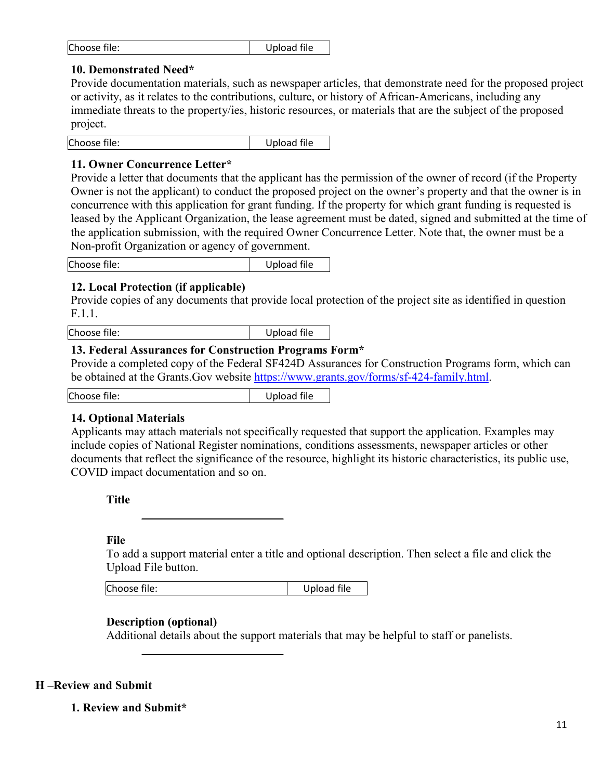| Choose file: | Upload file |
|--------------|-------------|
|--------------|-------------|

#### **10. Demonstrated Need\***

Provide documentation materials, such as newspaper articles, that demonstrate need for the proposed project or activity, as it relates to the contributions, culture, or history of African-Americans, including any immediate threats to the property/ies, historic resources, or materials that are the subject of the proposed project.

Choose file: Upload file

#### **11. Owner Concurrence Letter\***

Provide a letter that documents that the applicant has the permission of the owner of record (if the Property Owner is not the applicant) to conduct the proposed project on the owner's property and that the owner is in concurrence with this application for grant funding. If the property for which grant funding is requested is leased by the Applicant Organization, the lease agreement must be dated, signed and submitted at the time of the application submission, with the required Owner Concurrence Letter. Note that, the owner must be a Non-profit Organization or agency of government.

Choose file: Upload file

## **12. Local Protection (if applicable)**

Provide copies of any documents that provide local protection of the project site as identified in question F.1.1.

Choose file: Upload file

## **13. Federal Assurances for Construction Programs Form\***

Provide a completed copy of the Federal SF424D Assurances for Construction Programs form, which can be obtained at the Grants.Gov website [https://www.grants.gov/forms/sf-424-family.html.](https://www.grants.gov/forms/sf-424-family.html)

Choose file: Upload file

## **14. Optional Materials**

Applicants may attach materials not specifically requested that support the application. Examples may include copies of National Register nominations, conditions assessments, newspaper articles or other documents that reflect the significance of the resource, highlight its historic characteristics, its public use, COVID impact documentation and so on.

**Title**

#### **File**

To add a support material enter a title and optional description. Then select a file and click the Upload File button.

| Choose file:<br>Upload file |
|-----------------------------|
|-----------------------------|

**\_\_\_\_\_\_\_\_\_\_\_\_\_\_\_\_\_\_\_\_\_\_\_\_**

**\_\_\_\_\_\_\_\_\_\_\_\_\_\_\_\_\_\_\_\_\_\_\_\_**

## **Description (optional)**

Additional details about the support materials that may be helpful to staff or panelists.

## **H –Review and Submit**

**1. Review and Submit\***